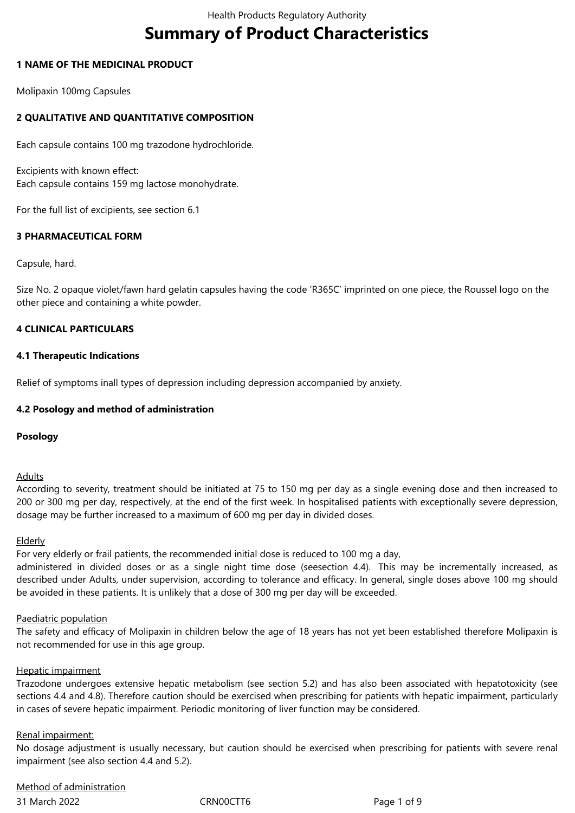# **Summary of Product Characteristics**

## **1 NAME OF THE MEDICINAL PRODUCT**

Molipaxin 100mg Capsules

# **2 QUALITATIVE AND QUANTITATIVE COMPOSITION**

Each capsule contains 100 mg trazodone hydrochloride.

Excipients with known effect: Each capsule contains 159 mg lactose monohydrate.

For the full list of excipients, see section 6.1

# **3 PHARMACEUTICAL FORM**

Capsule, hard.

Size No. 2 opaque violet/fawn hard gelatin capsules having the code 'R365C' imprinted on one piece, the Roussel logo on the other piece and containing a white powder.

# **4 CLINICAL PARTICULARS**

### **4.1 Therapeutic Indications**

Relief of symptoms inall types of depression including depression accompanied by anxiety.

# **4.2 Posology and method of administration**

### **Posology**

### Adults

According to severity, treatment should be initiated at 75 to 150 mg per day as a single evening dose and then increased to 200 or 300 mg per day, respectively, at the end of the first week. In hospitalised patients with exceptionally severe depression, dosage may be further increased to a maximum of 600 mg per day in divided doses.

### Elderly

For very elderly or frail patients, the recommended initial dose is reduced to 100 mg a day,

administered in divided doses or as a single night time dose (seesection 4.4). This may be incrementally increased, as described under Adults, under supervision, according to tolerance and efficacy. In general, single doses above 100 mg should be avoided in these patients. It is unlikely that a dose of 300 mg per day will be exceeded.

### Paediatric population

The safety and efficacy of Molipaxin in children below the age of 18 years has not yet been established therefore Molipaxin is not recommended for use in this age group.

### Hepatic impairment

Trazodone undergoes extensive hepatic metabolism (see section 5.2) and has also been associated with hepatotoxicity (see sections 4.4 and 4.8). Therefore caution should be exercised when prescribing for patients with hepatic impairment, particularly in cases of severe hepatic impairment. Periodic monitoring of liver function may be considered.

### Renal impairment:

No dosage adjustment is usually necessary, but caution should be exercised when prescribing for patients with severe renal impairment (see also section 4.4 and 5.2).

31 March 2022 CRN00CTT6 Page 1 of 9 Method of administration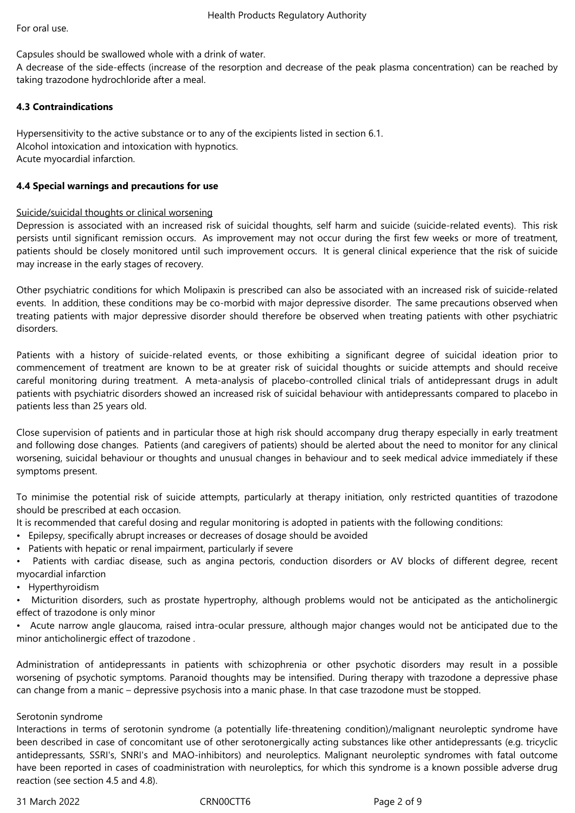Capsules should be swallowed whole with a drink of water.

A decrease of the side-effects (increase of the resorption and decrease of the peak plasma concentration) can be reached by taking trazodone hydrochloride after a meal.

# **4.3 Contraindications**

Hypersensitivity to the active substance or to any of the excipients listed in section 6.1. Alcohol intoxication and intoxication with hypnotics. Acute myocardial infarction.

# **4.4 Special warnings and precautions for use**

# Suicide/suicidal thoughts or clinical worsening

Depression is associated with an increased risk of suicidal thoughts, self harm and suicide (suicide-related events). This risk persists until significant remission occurs. As improvement may not occur during the first few weeks or more of treatment, patients should be closely monitored until such improvement occurs. It is general clinical experience that the risk of suicide may increase in the early stages of recovery.

Other psychiatric conditions for which Molipaxin is prescribed can also be associated with an increased risk of suicide-related events. In addition, these conditions may be co-morbid with major depressive disorder. The same precautions observed when treating patients with major depressive disorder should therefore be observed when treating patients with other psychiatric disorders.

Patients with a history of suicide-related events, or those exhibiting a significant degree of suicidal ideation prior to commencement of treatment are known to be at greater risk of suicidal thoughts or suicide attempts and should receive careful monitoring during treatment. A meta-analysis of placebo-controlled clinical trials of antidepressant drugs in adult patients with psychiatric disorders showed an increased risk of suicidal behaviour with antidepressants compared to placebo in patients less than 25 years old.

Close supervision of patients and in particular those at high risk should accompany drug therapy especially in early treatment and following dose changes. Patients (and caregivers of patients) should be alerted about the need to monitor for any clinical worsening, suicidal behaviour or thoughts and unusual changes in behaviour and to seek medical advice immediately if these symptoms present.

To minimise the potential risk of suicide attempts, particularly at therapy initiation, only restricted quantities of trazodone should be prescribed at each occasion.

It is recommended that careful dosing and regular monitoring is adopted in patients with the following conditions:

- Epilepsy, specifically abrupt increases or decreases of dosage should be avoided
- Patients with hepatic or renal impairment, particularly if severe
- Patients with cardiac disease, such as angina pectoris, conduction disorders or AV blocks of different degree, recent myocardial infarction
- Hyperthyroidism
- Micturition disorders, such as prostate hypertrophy, although problems would not be anticipated as the anticholinergic effect of trazodone is only minor
- Acute narrow angle glaucoma, raised intra-ocular pressure, although major changes would not be anticipated due to the minor anticholinergic effect of trazodone .

Administration of antidepressants in patients with schizophrenia or other psychotic disorders may result in a possible worsening of psychotic symptoms. Paranoid thoughts may be intensified. During therapy with trazodone a depressive phase can change from a manic – depressive psychosis into a manic phase. In that case trazodone must be stopped.

### Serotonin syndrome

Interactions in terms of serotonin syndrome (a potentially life-threatening condition)/malignant neuroleptic syndrome have been described in case of concomitant use of other serotonergically acting substances like other antidepressants (e.g. tricyclic antidepressants, SSRI's, SNRI's and MAO-inhibitors) and neuroleptics. Malignant neuroleptic syndromes with fatal outcome have been reported in cases of coadministration with neuroleptics, for which this syndrome is a known possible adverse drug reaction (see section 4.5 and 4.8).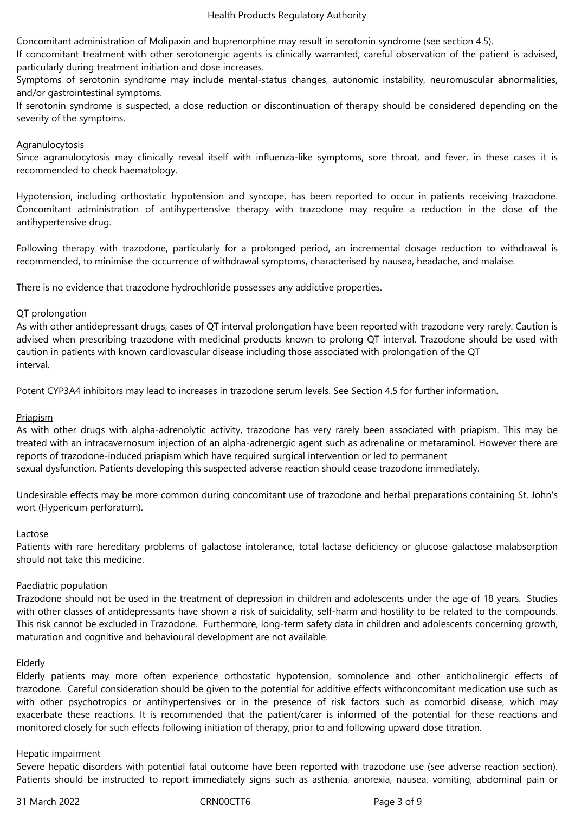Concomitant administration of Molipaxin and buprenorphine may result in serotonin syndrome (see section 4.5).

If concomitant treatment with other serotonergic agents is clinically warranted, careful observation of the patient is advised, particularly during treatment initiation and dose increases.

Symptoms of serotonin syndrome may include mental-status changes, autonomic instability, neuromuscular abnormalities, and/or gastrointestinal symptoms.

If serotonin syndrome is suspected, a dose reduction or discontinuation of therapy should be considered depending on the severity of the symptoms.

## **Agranulocytosis**

Since agranulocytosis may clinically reveal itself with influenza-like symptoms, sore throat, and fever, in these cases it is recommended to check haematology.

Hypotension, including orthostatic hypotension and syncope, has been reported to occur in patients receiving trazodone. Concomitant administration of antihypertensive therapy with trazodone may require a reduction in the dose of the antihypertensive drug.

Following therapy with trazodone, particularly for a prolonged period, an incremental dosage reduction to withdrawal is recommended, to minimise the occurrence of withdrawal symptoms, characterised by nausea, headache, and malaise.

There is no evidence that trazodone hydrochloride possesses any addictive properties.

# QT prolongation

As with other antidepressant drugs, cases of QT interval prolongation have been reported with trazodone very rarely. Caution is advised when prescribing trazodone with medicinal products known to prolong QT interval. Trazodone should be used with caution in patients with known cardiovascular disease including those associated with prolongation of the QT interval.

Potent CYP3A4 inhibitors may lead to increases in trazodone serum levels. See Section 4.5 for further information.

# **Priapism**

As with other drugs with alpha-adrenolytic activity, trazodone has very rarely been associated with priapism. This may be treated with an intracavernosum injection of an alpha-adrenergic agent such as adrenaline or metaraminol. However there are reports of trazodone-induced priapism which have required surgical intervention or led to permanent

sexual dysfunction. Patients developing this suspected adverse reaction should cease trazodone immediately.

Undesirable effects may be more common during concomitant use of trazodone and herbal preparations containing St. John's wort (Hypericum perforatum).

### Lactose

Patients with rare hereditary problems of galactose intolerance, total lactase deficiency or glucose galactose malabsorption should not take this medicine.

### Paediatric population

Trazodone should not be used in the treatment of depression in children and adolescents under the age of 18 years. Studies with other classes of antidepressants have shown a risk of suicidality, self-harm and hostility to be related to the compounds. This risk cannot be excluded in Trazodone. Furthermore, long-term safety data in children and adolescents concerning growth, maturation and cognitive and behavioural development are not available.

### Elderly

Elderly patients may more often experience orthostatic hypotension, somnolence and other anticholinergic effects of trazodone. Careful consideration should be given to the potential for additive effects withconcomitant medication use such as with other psychotropics or antihypertensives or in the presence of risk factors such as comorbid disease, which may exacerbate these reactions. It is recommended that the patient/carer is informed of the potential for these reactions and monitored closely for such effects following initiation of therapy, prior to and following upward dose titration.

### Hepatic impairment

Severe hepatic disorders with potential fatal outcome have been reported with trazodone use (see adverse reaction section). Patients should be instructed to report immediately signs such as asthenia, anorexia, nausea, vomiting, abdominal pain or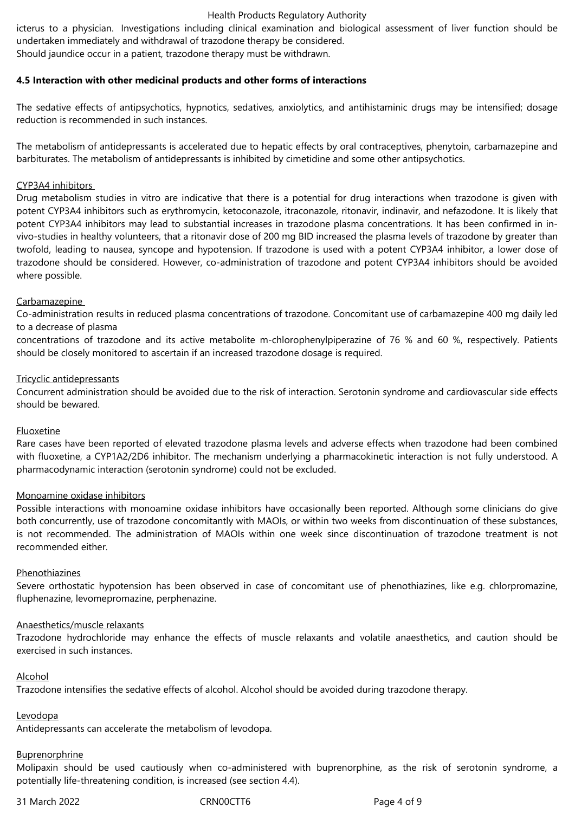#### Health Products Regulatory Authority

icterus to a physician. Investigations including clinical examination and biological assessment of liver function should be undertaken immediately and withdrawal of trazodone therapy be considered.

Should jaundice occur in a patient, trazodone therapy must be withdrawn.

#### **4.5 Interaction with other medicinal products and other forms of interactions**

The sedative effects of antipsychotics, hypnotics, sedatives, anxiolytics, and antihistaminic drugs may be intensified; dosage reduction is recommended in such instances.

The metabolism of antidepressants is accelerated due to hepatic effects by oral contraceptives, phenytoin, carbamazepine and barbiturates. The metabolism of antidepressants is inhibited by cimetidine and some other antipsychotics.

#### CYP3A4 inhibitors

Drug metabolism studies in vitro are indicative that there is a potential for drug interactions when trazodone is given with potent CYP3A4 inhibitors such as erythromycin, ketoconazole, itraconazole, ritonavir, indinavir, and nefazodone. It is likely that potent CYP3A4 inhibitors may lead to substantial increases in trazodone plasma concentrations. It has been confirmed in invivo-studies in healthy volunteers, that a ritonavir dose of 200 mg BID increased the plasma levels of trazodone by greater than twofold, leading to nausea, syncope and hypotension. If trazodone is used with a potent CYP3A4 inhibitor, a lower dose of trazodone should be considered. However, co-administration of trazodone and potent CYP3A4 inhibitors should be avoided where possible.

#### Carbamazepine

Co-administration results in reduced plasma concentrations of trazodone. Concomitant use of carbamazepine 400 mg daily led to a decrease of plasma

concentrations of trazodone and its active metabolite m-chlorophenylpiperazine of 76 % and 60 %, respectively. Patients should be closely monitored to ascertain if an increased trazodone dosage is required.

#### Tricyclic antidepressants

Concurrent administration should be avoided due to the risk of interaction. Serotonin syndrome and cardiovascular side effects should be bewared.

#### Fluoxetine

Rare cases have been reported of elevated trazodone plasma levels and adverse effects when trazodone had been combined with fluoxetine, a CYP1A2/2D6 inhibitor. The mechanism underlying a pharmacokinetic interaction is not fully understood. A pharmacodynamic interaction (serotonin syndrome) could not be excluded.

### Monoamine oxidase inhibitors

Possible interactions with monoamine oxidase inhibitors have occasionally been reported. Although some clinicians do give both concurrently, use of trazodone concomitantly with MAOIs, or within two weeks from discontinuation of these substances, is not recommended. The administration of MAOIs within one week since discontinuation of trazodone treatment is not recommended either.

#### Phenothiazines

Severe orthostatic hypotension has been observed in case of concomitant use of phenothiazines, like e.g. chlorpromazine, fluphenazine, levomepromazine, perphenazine.

### Anaesthetics/muscle relaxants

Trazodone hydrochloride may enhance the effects of muscle relaxants and volatile anaesthetics, and caution should be exercised in such instances.

#### Alcohol

Trazodone intensifies the sedative effects of alcohol. Alcohol should be avoided during trazodone therapy.

# Levodopa

Antidepressants can accelerate the metabolism of levodopa.

# **Buprenorphrine**

Molipaxin should be used cautiously when co-administered with buprenorphine, as the risk of serotonin syndrome, a potentially life-threatening condition, is increased (see section 4.4).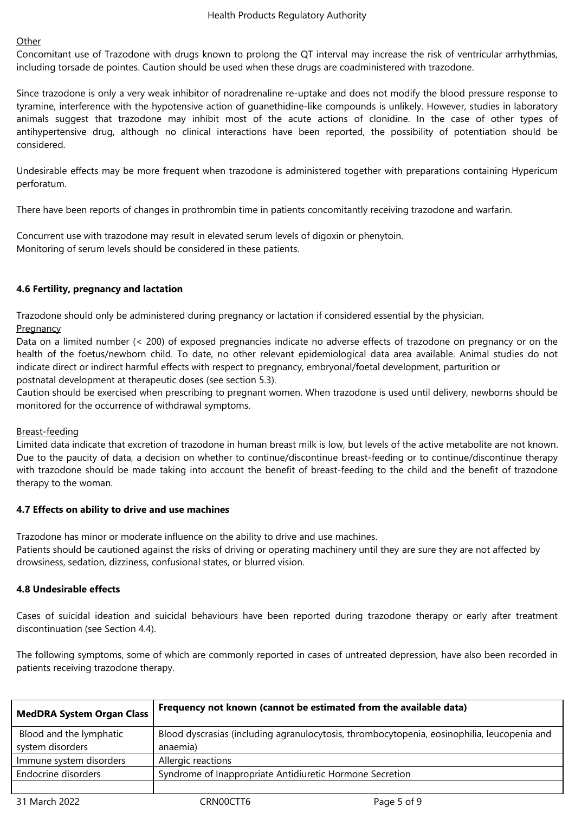# **Other**

Concomitant use of Trazodone with drugs known to prolong the QT interval may increase the risk of ventricular arrhythmias, including torsade de pointes. Caution should be used when these drugs are coadministered with trazodone.

Since trazodone is only a very weak inhibitor of noradrenaline re-uptake and does not modify the blood pressure response to tyramine, interference with the hypotensive action of guanethidine-like compounds is unlikely. However, studies in laboratory animals suggest that trazodone may inhibit most of the acute actions of clonidine. In the case of other types of antihypertensive drug, although no clinical interactions have been reported, the possibility of potentiation should be considered.

Undesirable effects may be more frequent when trazodone is administered together with preparations containing Hypericum perforatum.

There have been reports of changes in prothrombin time in patients concomitantly receiving trazodone and warfarin.

Concurrent use with trazodone may result in elevated serum levels of digoxin or phenytoin. Monitoring of serum levels should be considered in these patients.

# **4.6 Fertility, pregnancy and lactation**

Trazodone should only be administered during pregnancy or lactation if considered essential by the physician. **Pregnancy** 

Data on a limited number (< 200) of exposed pregnancies indicate no adverse effects of trazodone on pregnancy or on the health of the foetus/newborn child. To date, no other relevant epidemiological data area available. Animal studies do not indicate direct or indirect harmful effects with respect to pregnancy, embryonal/foetal development, parturition or postnatal development at therapeutic doses (see section 5.3).

Caution should be exercised when prescribing to pregnant women. When trazodone is used until delivery, newborns should be monitored for the occurrence of withdrawal symptoms.

# Breast-feeding

Limited data indicate that excretion of trazodone in human breast milk is low, but levels of the active metabolite are not known. Due to the paucity of data, a decision on whether to continue/discontinue breast-feeding or to continue/discontinue therapy with trazodone should be made taking into account the benefit of breast-feeding to the child and the benefit of trazodone therapy to the woman.

# **4.7 Effects on ability to drive and use machines**

Trazodone has minor or moderate influence on the ability to drive and use machines.

Patients should be cautioned against the risks of driving or operating machinery until they are sure they are not affected by drowsiness, sedation, dizziness, confusional states, or blurred vision.

# **4.8 Undesirable effects**

Cases of suicidal ideation and suicidal behaviours have been reported during trazodone therapy or early after treatment discontinuation (see Section 4.4).

The following symptoms, some of which are commonly reported in cases of untreated depression, have also been recorded in patients receiving trazodone therapy.

| <b>MedDRA System Organ Class</b>            | Frequency not known (cannot be estimated from the available data)                                       |             |
|---------------------------------------------|---------------------------------------------------------------------------------------------------------|-------------|
| Blood and the lymphatic<br>system disorders | Blood dyscrasias (including agranulocytosis, thrombocytopenia, eosinophilia, leucopenia and<br>anaemia) |             |
|                                             |                                                                                                         |             |
| Immune system disorders                     | Allergic reactions                                                                                      |             |
| Endocrine disorders                         | Syndrome of Inappropriate Antidiuretic Hormone Secretion                                                |             |
|                                             |                                                                                                         |             |
| 31 March 2022                               | CRN00CTT6                                                                                               | Page 5 of 9 |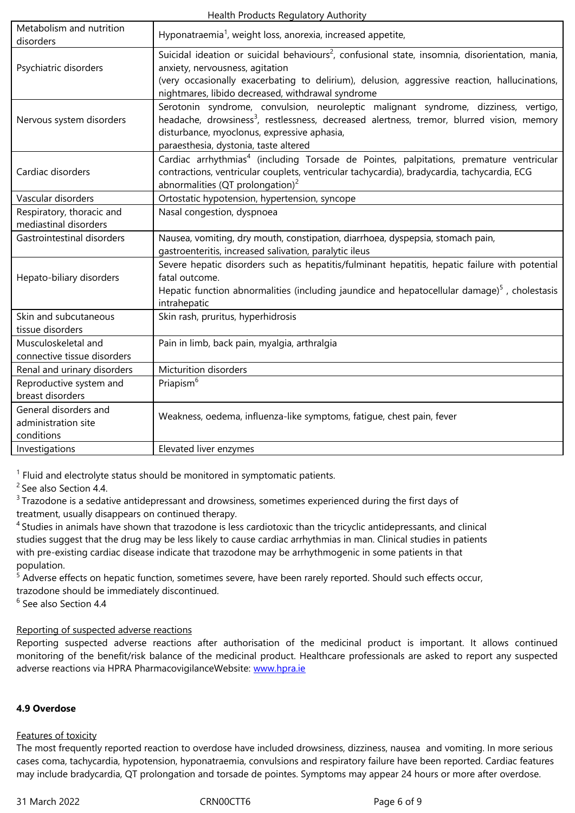|                             | Suicidal ideation or suicidal behaviours <sup>2</sup> , confusional state, insomnia, disorientation, mania, |  |  |
|-----------------------------|-------------------------------------------------------------------------------------------------------------|--|--|
| Psychiatric disorders       | anxiety, nervousness, agitation                                                                             |  |  |
|                             | (very occasionally exacerbating to delirium), delusion, aggressive reaction, hallucinations,                |  |  |
|                             | nightmares, libido decreased, withdrawal syndrome                                                           |  |  |
|                             | Serotonin syndrome, convulsion, neuroleptic malignant syndrome, dizziness, vertigo,                         |  |  |
| Nervous system disorders    | headache, drowsiness <sup>3</sup> , restlessness, decreased alertness, tremor, blurred vision, memory       |  |  |
|                             | disturbance, myoclonus, expressive aphasia,                                                                 |  |  |
|                             | paraesthesia, dystonia, taste altered                                                                       |  |  |
|                             | Cardiac arrhythmias <sup>4</sup> (including Torsade de Pointes, palpitations, premature ventricular         |  |  |
| Cardiac disorders           | contractions, ventricular couplets, ventricular tachycardia), bradycardia, tachycardia, ECG                 |  |  |
|                             | abnormalities (QT prolongation) <sup>2</sup>                                                                |  |  |
| Vascular disorders          | Ortostatic hypotension, hypertension, syncope                                                               |  |  |
| Respiratory, thoracic and   | Nasal congestion, dyspnoea                                                                                  |  |  |
| mediastinal disorders       |                                                                                                             |  |  |
| Gastrointestinal disorders  | Nausea, vomiting, dry mouth, constipation, diarrhoea, dyspepsia, stomach pain,                              |  |  |
|                             | gastroenteritis, increased salivation, paralytic ileus                                                      |  |  |
|                             | Severe hepatic disorders such as hepatitis/fulminant hepatitis, hepatic failure with potential              |  |  |
| Hepato-biliary disorders    | fatal outcome.                                                                                              |  |  |
|                             | Hepatic function abnormalities (including jaundice and hepatocellular damage) $5$ , cholestasis             |  |  |
|                             | intrahepatic                                                                                                |  |  |
| Skin and subcutaneous       | Skin rash, pruritus, hyperhidrosis                                                                          |  |  |
| tissue disorders            |                                                                                                             |  |  |
| Musculoskeletal and         | Pain in limb, back pain, myalgia, arthralgia                                                                |  |  |
| connective tissue disorders |                                                                                                             |  |  |
| Renal and urinary disorders | Micturition disorders                                                                                       |  |  |
| Reproductive system and     | Priapism <sup>6</sup>                                                                                       |  |  |
| breast disorders            |                                                                                                             |  |  |
| General disorders and       | Weakness, oedema, influenza-like symptoms, fatique, chest pain, fever                                       |  |  |
| administration site         |                                                                                                             |  |  |
| conditions                  |                                                                                                             |  |  |
| Investigations              | Elevated liver enzymes                                                                                      |  |  |

<sup>1</sup> Fluid and electrolyte status should be monitored in symptomatic patients.

<sup>2</sup> See also Section 4.4.

 $3$  Trazodone is a sedative antidepressant and drowsiness, sometimes experienced during the first days of treatment, usually disappears on continued therapy.

<sup>4</sup> Studies in animals have shown that trazodone is less cardiotoxic than the tricyclic antidepressants, and clinical studies suggest that the drug may be less likely to cause cardiac arrhythmias in man. Clinical studies in patients with pre-existing cardiac disease indicate that trazodone may be arrhythmogenic in some patients in that population.

<sup>5</sup> Adverse effects on hepatic function, sometimes severe, have been rarely reported. Should such effects occur, trazodone should be immediately discontinued.

<sup>6</sup> See also Section 4.4

# Reporting of suspected adverse reactions

Reporting suspected adverse reactions after authorisation of the medicinal product is important. It allows continued monitoring of the benefit/risk balance of the medicinal product. Healthcare professionals are asked to report any suspected adverse reactions via HPRA PharmacovigilanceWebsite: www.hpra.ie

# **4.9 Overdose**

### Features of toxicity

The most frequently reported reaction to overdose have included drowsiness, dizziness, nausea and vomiting. In more serious cases coma, tachycardia, hypotension, hyponatraemia, convulsions and respiratory failure have been reported. Cardiac features may include bradycardia, QT prolongation and torsade de pointes. Symptoms may appear 24 hours or more after overdose.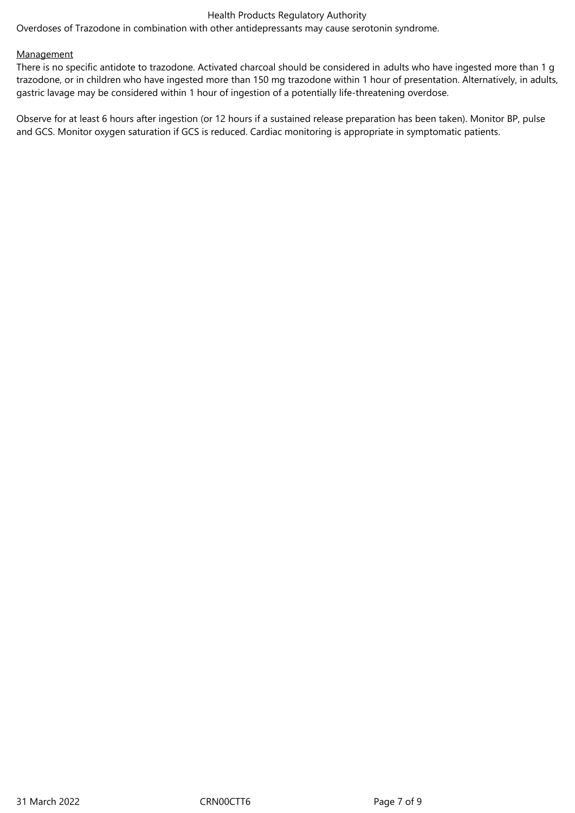## Health Products Regulatory Authority

Overdoses of Trazodone in combination with other antidepressants may cause serotonin syndrome.

#### **Management**

There is no specific antidote to trazodone. Activated charcoal should be considered in adults who have ingested more than 1 g trazodone, or in children who have ingested more than 150 mg trazodone within 1 hour of presentation. Alternatively, in adults, gastric lavage may be considered within 1 hour of ingestion of a potentially life-threatening overdose.

Observe for at least 6 hours after ingestion (or 12 hours if a sustained release preparation has been taken). Monitor BP, pulse and GCS. Monitor oxygen saturation if GCS is reduced. Cardiac monitoring is appropriate in symptomatic patients.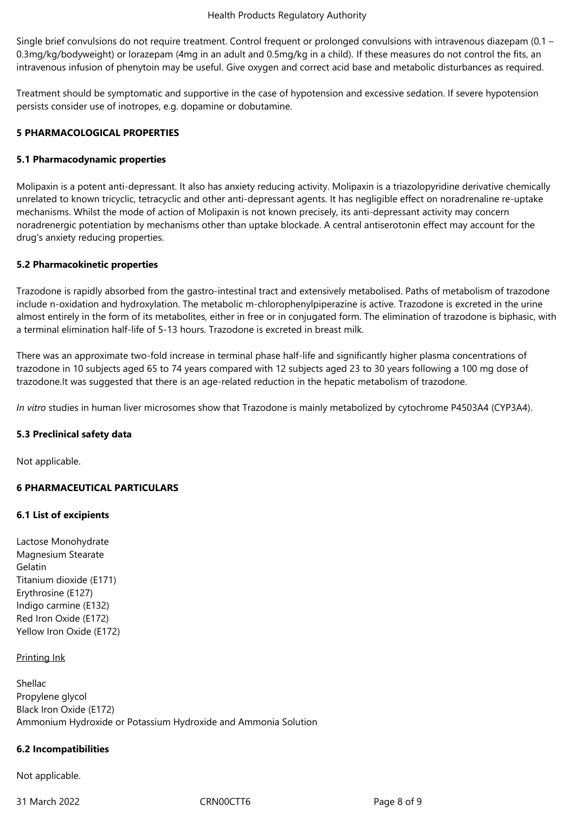Single brief convulsions do not require treatment. Control frequent or prolonged convulsions with intravenous diazepam (0.1 – 0.3mg/kg/bodyweight) or lorazepam (4mg in an adult and 0.5mg/kg in a child). If these measures do not control the fits, an intravenous infusion of phenytoin may be useful. Give oxygen and correct acid base and metabolic disturbances as required.

Treatment should be symptomatic and supportive in the case of hypotension and excessive sedation. If severe hypotension persists consider use of inotropes, e.g. dopamine or dobutamine.

# **5 PHARMACOLOGICAL PROPERTIES**

### **5.1 Pharmacodynamic properties**

Molipaxin is a potent anti-depressant. It also has anxiety reducing activity. Molipaxin is a triazolopyridine derivative chemically unrelated to known tricyclic, tetracyclic and other anti-depressant agents. It has negligible effect on noradrenaline re-uptake mechanisms. Whilst the mode of action of Molipaxin is not known precisely, its anti-depressant activity may concern noradrenergic potentiation by mechanisms other than uptake blockade. A central antiserotonin effect may account for the drug's anxiety reducing properties.

### **5.2 Pharmacokinetic properties**

Trazodone is rapidly absorbed from the gastro-intestinal tract and extensively metabolised. Paths of metabolism of trazodone include n-oxidation and hydroxylation. The metabolic m-chlorophenylpiperazine is active. Trazodone is excreted in the urine almost entirely in the form of its metabolites, either in free or in conjugated form. The elimination of trazodone is biphasic, with a terminal elimination half-life of 5-13 hours. Trazodone is excreted in breast milk.

There was an approximate two-fold increase in terminal phase half-life and significantly higher plasma concentrations of trazodone in 10 subjects aged 65 to 74 years compared with 12 subjects aged 23 to 30 years following a 100 mg dose of trazodone.It was suggested that there is an age-related reduction in the hepatic metabolism of trazodone.

*In vitro* studies in human liver microsomes show that Trazodone is mainly metabolized by cytochrome P4503A4 (CYP3A4).

# **5.3 Preclinical safety data**

Not applicable.

# **6 PHARMACEUTICAL PARTICULARS**

### **6.1 List of excipients**

Lactose Monohydrate Magnesium Stearate Gelatin Titanium dioxide (E171) Erythrosine (E127) Indigo carmine (E132) Red Iron Oxide (E172) Yellow Iron Oxide (E172)

### Printing Ink

Shellac Propylene glycol Black Iron Oxide (E172) Ammonium Hydroxide or Potassium Hydroxide and Ammonia Solution

### **6.2 Incompatibilities**

Not applicable.